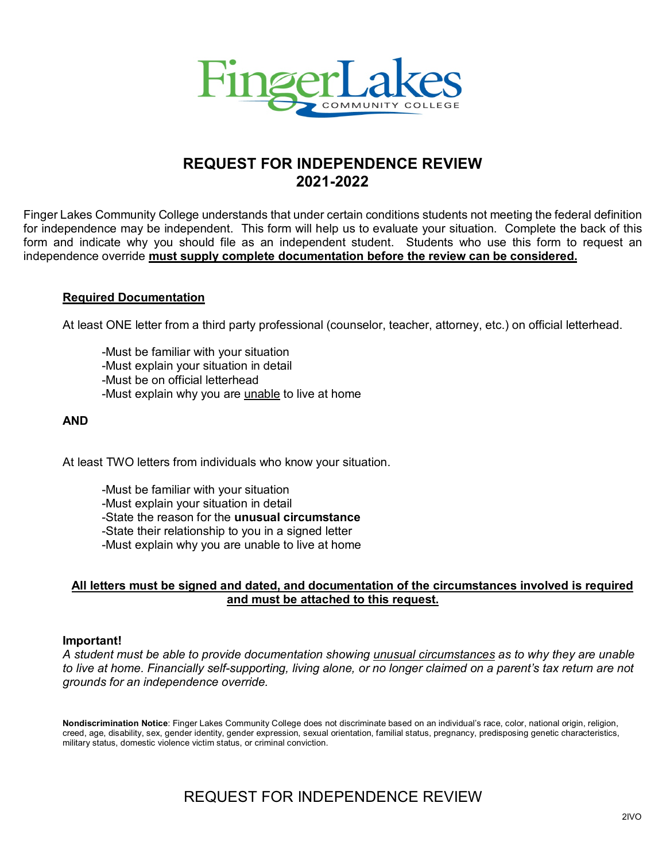

# **REQUEST FOR INDEPENDENCE REVIEW 2021-2022**

Finger Lakes Community College understands that under certain conditions students not meeting the federal definition for independence may be independent. This form will help us to evaluate your situation. Complete the back of this form and indicate why you should file as an independent student. Students who use this form to request an independence override **must supply complete documentation before the review can be considered.**

### **Required Documentation**

At least ONE letter from a third party professional (counselor, teacher, attorney, etc.) on official letterhead.

-Must be familiar with your situation -Must explain your situation in detail -Must be on official letterhead -Must explain why you are unable to live at home

## **AND**

At least TWO letters from individuals who know your situation.

-Must be familiar with your situation -Must explain your situation in detail -State the reason for the **unusual circumstance** -State their relationship to you in a signed letter -Must explain why you are unable to live at home

## **All letters must be signed and dated, and documentation of the circumstances involved is required and must be attached to this request.**

### **Important!**

*A student must be able to provide documentation showing unusual circumstances as to why they are unable to live at home. Financially self-supporting, living alone, or no longer claimed on a parent's tax return are not grounds for an independence override.* 

**Nondiscrimination Notice**: Finger Lakes Community College does not discriminate based on an individual's race, color, national origin, religion, creed, age, disability, sex, gender identity, gender expression, sexual orientation, familial status, pregnancy, predisposing genetic characteristics, military status, domestic violence victim status, or criminal conviction.